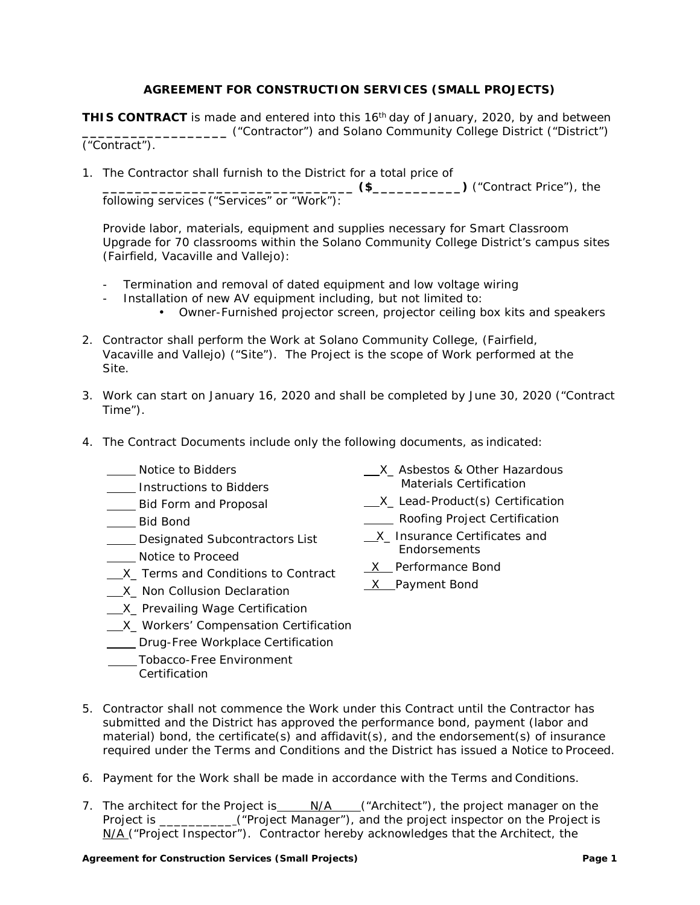# **AGREEMENT FOR CONSTRUCTION SERVICES (SMALL PROJECTS)**

**THIS CONTRACT** is made and entered into this 16<sup>th</sup> day of January, 2020, by and between **\_\_\_\_\_\_\_\_\_\_\_\_\_\_\_\_\_\_** ("Contractor") and Solano Community College District ("District") ("Contract").

1. The Contractor shall furnish to the District for a total price of

**\_\_\_\_\_\_\_\_\_\_\_\_\_\_\_\_\_\_\_\_\_\_\_\_\_\_\_\_\_\_\_ (\$\_\_\_\_\_\_\_\_\_\_\_)** ("Contract Price"), the following services ("Services" or "Work"):

Provide labor, materials, equipment and supplies necessary for Smart Classroom Upgrade for 70 classrooms within the Solano Community College District's campus sites (Fairfield, Vacaville and Vallejo):

- Termination and removal of dated equipment and low voltage wiring
- Installation of new AV equipment including, but not limited to:
	- Owner-Furnished projector screen, projector ceiling box kits and speakers
- 2. Contractor shall perform the Work at Solano Community College, (Fairfield, Vacaville and Vallejo) ("Site"). The Project is the scope of Work performed at the Site.
- 3. Work can start on January 16, 2020 and shall be completed by June 30, 2020 ("Contract Time").
- 4. The Contract Documents include only the following documents, as indicated:
	- **Notice to Bidders**
	- **Instructions to Bidders**
	- Bid Form and Proposal
	- Lassen Bid Bond
	- **Designated Subcontractors List**
	- **Notice to Proceed**
	- X Terms and Conditions to Contract
	- X\_ Non Collusion Declaration
	- **X\_ Prevailing Wage Certification**
	- **X\_ Workers' Compensation Certification**
	- **Drug-Free Workplace Certification**
	- Tobacco-Free Environment
		- **Certification**
- 5. Contractor shall not commence the Work under this Contract until the Contractor has submitted and the District has approved the performance bond, payment (labor and material) bond, the certificate(s) and affidavit(s), and the endorsement(s) of insurance required under the Terms and Conditions and the District has issued a Notice to Proceed.
- 6. Payment for the Work shall be made in accordance with the Terms and Conditions.
- 7. The architect for the Project is M/A ("Architect"), the project manager on the Project is **Frought ("Project Manager"), and the project inspector on the Project is** N/A ("Project Inspector"). Contractor hereby acknowledges that the Architect, the
- X\_ Asbestos & Other Hazardous Materials Certification
- \_\_X\_ Lead-Product(s) Certification
- Roofing Project Certification
- **X\_ Insurance Certificates and** Endorsements
- X Performance Bond
- X Payment Bond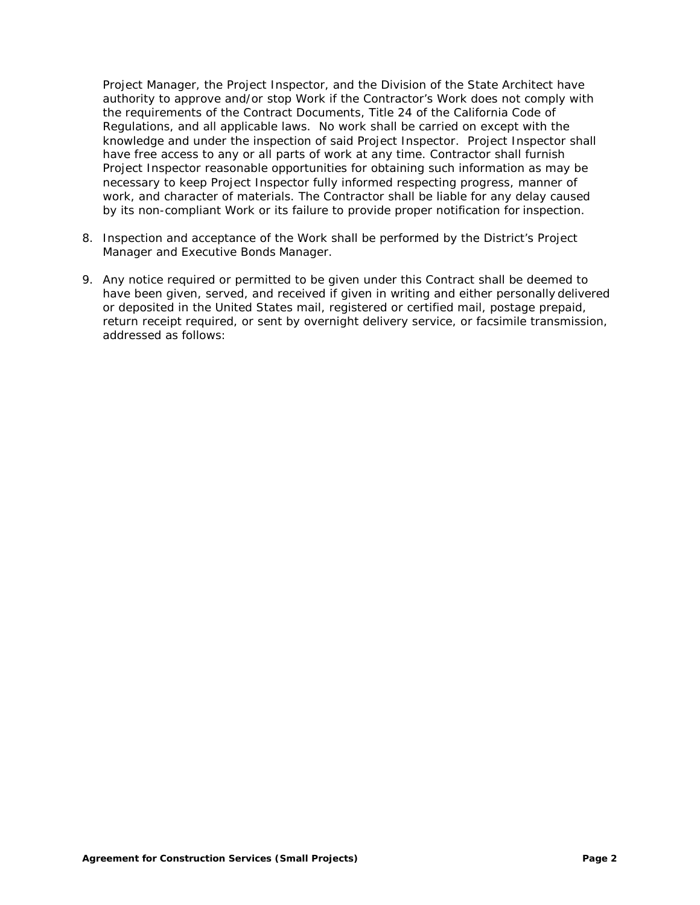Project Manager, the Project Inspector, and the Division of the State Architect have authority to approve and/or stop Work if the Contractor's Work does not comply with the requirements of the Contract Documents, Title 24 of the California Code of Regulations, and all applicable laws. No work shall be carried on except with the knowledge and under the inspection of said Project Inspector. Project Inspector shall have free access to any or all parts of work at any time. Contractor shall furnish Project Inspector reasonable opportunities for obtaining such information as may be necessary to keep Project Inspector fully informed respecting progress, manner of work, and character of materials. The Contractor shall be liable for any delay caused by its non-compliant Work or its failure to provide proper notification for inspection.

- 8. Inspection and acceptance of the Work shall be performed by the District's Project Manager and Executive Bonds Manager.
- 9. Any notice required or permitted to be given under this Contract shall be deemed to have been given, served, and received if given in writing and either personally delivered or deposited in the United States mail, registered or certified mail, postage prepaid, return receipt required, or sent by overnight delivery service, or facsimile transmission, addressed as follows: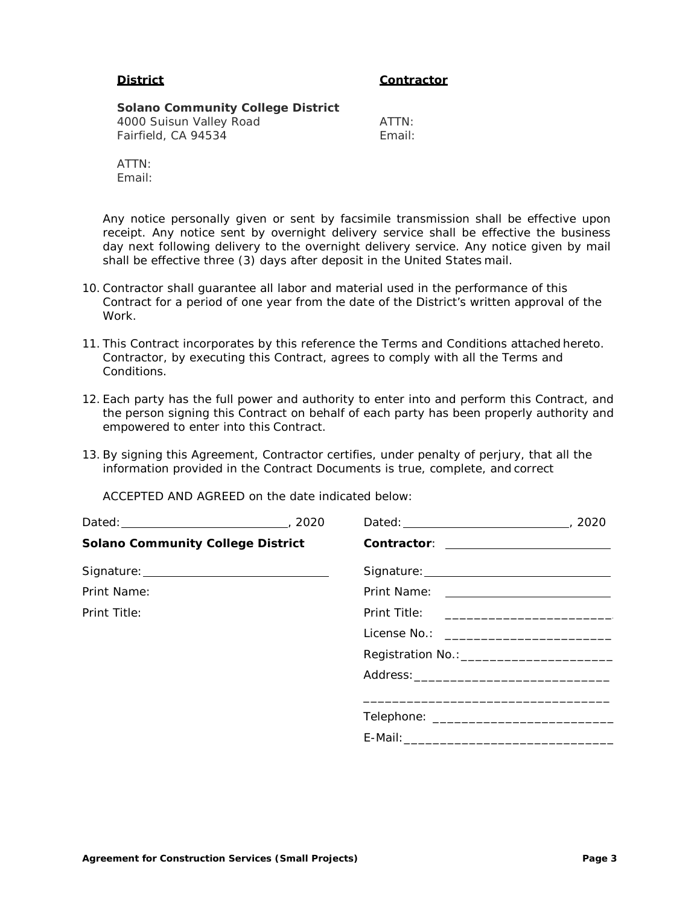### **District**

#### **Contractor**

**Solano Community College District** 4000 Suisun Valley Road Fairfield, CA 94534

ATTN: Email:

ATTN: Email:

Any notice personally given or sent by facsimile transmission shall be effective upon receipt. Any notice sent by overnight delivery service shall be effective the business day next following delivery to the overnight delivery service. Any notice given by mail shall be effective three (3) days after deposit in the United States mail.

- 10. Contractor shall guarantee all labor and material used in the performance of this Contract for a period of one year from the date of the District's written approval of the Work.
- 11. This Contract incorporates by this reference the Terms and Conditions attached hereto. Contractor, by executing this Contract, agrees to comply with all the Terms and Conditions.
- 12. Each party has the full power and authority to enter into and perform this Contract, and the person signing this Contract on behalf of each party has been properly authority and empowered to enter into this Contract.
- 13. By signing this Agreement, Contractor certifies, under penalty of perjury, that all the information provided in the Contract Documents is true, complete, and correct

ACCEPTED AND AGREED on the date indicated below:

| Dated: 2020                              | Dated: 2020                                                                                                            |
|------------------------------------------|------------------------------------------------------------------------------------------------------------------------|
| <b>Solano Community College District</b> | Contractor: ______________________                                                                                     |
|                                          |                                                                                                                        |
| Print Name:                              |                                                                                                                        |
| Print Title:                             |                                                                                                                        |
|                                          | License No.: _______________________________                                                                           |
|                                          |                                                                                                                        |
|                                          |                                                                                                                        |
|                                          | <u> 1989 - Johann John Stoff, deutscher Stoffen und der Stoffen und der Stoffen und der Stoffen und der Stoffen un</u> |
|                                          |                                                                                                                        |
|                                          |                                                                                                                        |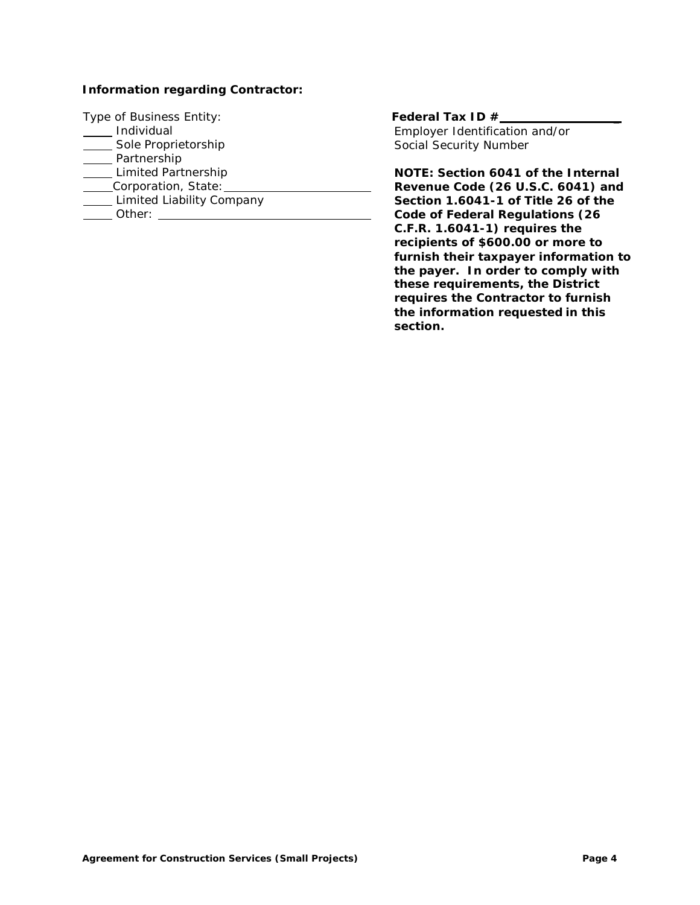## **Information regarding Contractor:**

| Type of Business Entity:   |
|----------------------------|
| Individual                 |
| Sole Proprietorship        |
| Partnership                |
| <b>Limited Partnership</b> |
| Corporation, State:        |
| Limited Liability Company  |
| Other:                     |
|                            |

 **Federal Tax ID # \_**

Employer Identification and/or Social Security Number

**NOTE: Section 6041 of the Internal Revenue Code (26 U.S.C. 6041) and Section 1.6041-1 of Title 26 of the Code of Federal Regulations (26 C.F.R. 1.6041-1) requires the recipients of \$600.00 or more to furnish their taxpayer information to the payer. In order to comply with these requirements, the District requires the Contractor to furnish the information requested in this section.**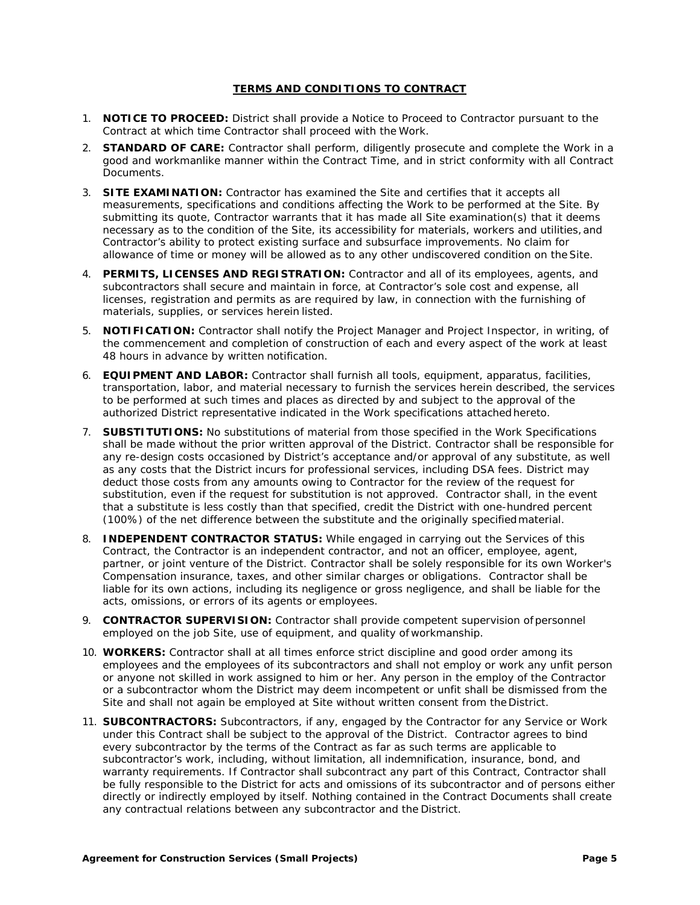### **TERMS AND CONDITIONS TO CONTRACT**

- 1. **NOTICE TO PROCEED:** District shall provide a Notice to Proceed to Contractor pursuant to the Contract at which time Contractor shall proceed with the Work.
- 2. **STANDARD OF CARE:** Contractor shall perform, diligently prosecute and complete the Work in a good and workmanlike manner within the Contract Time, and in strict conformity with all Contract Documents.
- 3. **SITE EXAMINATION:** Contractor has examined the Site and certifies that it accepts all measurements, specifications and conditions affecting the Work to be performed at the Site. By submitting its quote, Contractor warrants that it has made all Site examination(s) that it deems necessary as to the condition of the Site, its accessibility for materials, workers and utilities,and Contractor's ability to protect existing surface and subsurface improvements. No claim for allowance of time or money will be allowed as to any other undiscovered condition on the Site.
- 4. **PERMITS, LICENSES AND REGISTRATION:** Contractor and all of its employees, agents, and subcontractors shall secure and maintain in force, at Contractor's sole cost and expense, all licenses, registration and permits as are required by law, in connection with the furnishing of materials, supplies, or services herein listed.
- 5. **NOTIFICATION:** Contractor shall notify the Project Manager and Project Inspector, in writing, of the commencement and completion of construction of each and every aspect of the work at least 48 hours in advance by written notification.
- 6. **EQUIPMENT AND LABOR:** Contractor shall furnish all tools, equipment, apparatus, facilities, transportation, labor, and material necessary to furnish the services herein described, the services to be performed at such times and places as directed by and subject to the approval of the authorized District representative indicated in the Work specifications attached hereto.
- 7. **SUBSTITUTIONS:** No substitutions of material from those specified in the Work Specifications shall be made without the prior written approval of the District. Contractor shall be responsible for any re-design costs occasioned by District's acceptance and/or approval of any substitute, as well as any costs that the District incurs for professional services, including DSA fees. District may deduct those costs from any amounts owing to Contractor for the review of the request for substitution, even if the request for substitution is not approved. Contractor shall, in the event that a substitute is less costly than that specified, credit the District with one-hundred percent (100%) of the net difference between the substitute and the originally specifiedmaterial.
- 8. **INDEPENDENT CONTRACTOR STATUS:** While engaged in carrying out the Services of this Contract, the Contractor is an independent contractor, and not an officer, employee, agent, partner, or joint venture of the District. Contractor shall be solely responsible for its own Worker's Compensation insurance, taxes, and other similar charges or obligations. Contractor shall be liable for its own actions, including its negligence or gross negligence, and shall be liable for the acts, omissions, or errors of its agents or employees.
- 9. **CONTRACTOR SUPERVISION:** Contractor shall provide competent supervision ofpersonnel employed on the job Site, use of equipment, and quality of workmanship.
- 10. **WORKERS:** Contractor shall at all times enforce strict discipline and good order among its employees and the employees of its subcontractors and shall not employ or work any unfit person or anyone not skilled in work assigned to him or her. Any person in the employ of the Contractor or a subcontractor whom the District may deem incompetent or unfit shall be dismissed from the Site and shall not again be employed at Site without written consent from the District.
- 11. **SUBCONTRACTORS:** Subcontractors, if any, engaged by the Contractor for any Service or Work under this Contract shall be subject to the approval of the District. Contractor agrees to bind every subcontractor by the terms of the Contract as far as such terms are applicable to subcontractor's work, including, without limitation, all indemnification, insurance, bond, and warranty requirements. If Contractor shall subcontract any part of this Contract, Contractor shall be fully responsible to the District for acts and omissions of its subcontractor and of persons either directly or indirectly employed by itself. Nothing contained in the Contract Documents shall create any contractual relations between any subcontractor and the District.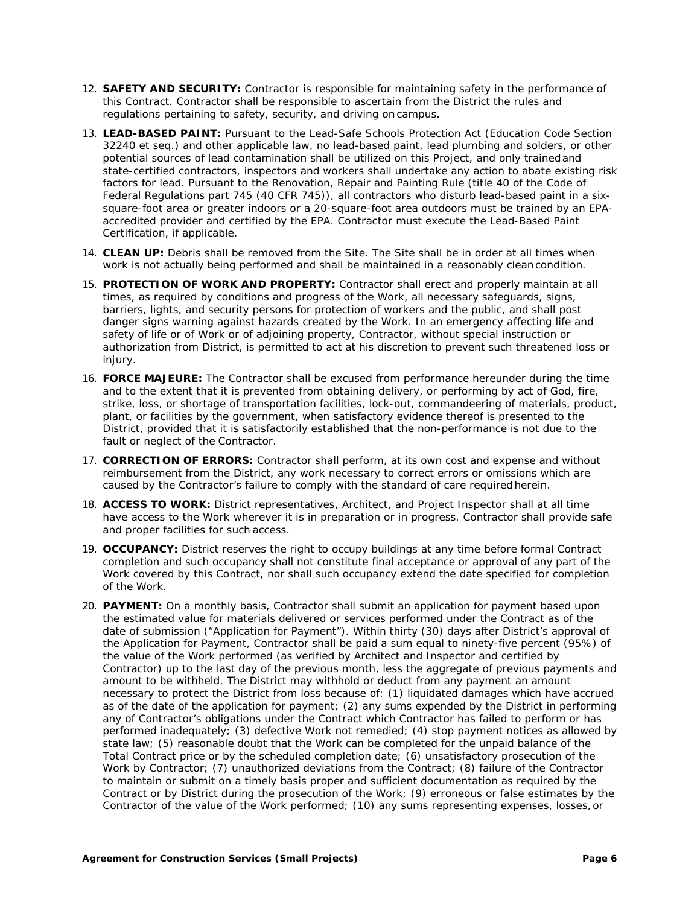- 12. **SAFETY AND SECURITY:** Contractor is responsible for maintaining safety in the performance of this Contract. Contractor shall be responsible to ascertain from the District the rules and regulations pertaining to safety, security, and driving on campus.
- 13. **LEAD-BASED PAINT:** Pursuant to the Lead-Safe Schools Protection Act (Education Code Section 32240 et seq.) and other applicable law, no lead-based paint, lead plumbing and solders, or other potential sources of lead contamination shall be utilized on this Project, and only trainedand state-certified contractors, inspectors and workers shall undertake any action to abate existing risk factors for lead. Pursuant to the Renovation, Repair and Painting Rule (title 40 of the Code of Federal Regulations part 745 (40 CFR 745)), all contractors who disturb lead-based paint in a sixsquare-foot area or greater indoors or a 20-square-foot area outdoors must be trained by an EPAaccredited provider and certified by the EPA. Contractor must execute the Lead-Based Paint Certification, if applicable.
- 14. **CLEAN UP:** Debris shall be removed from the Site. The Site shall be in order at all times when work is not actually being performed and shall be maintained in a reasonably cleancondition.
- 15. **PROTECTION OF WORK AND PROPERTY:** Contractor shall erect and properly maintain at all times, as required by conditions and progress of the Work, all necessary safeguards, signs, barriers, lights, and security persons for protection of workers and the public, and shall post danger signs warning against hazards created by the Work. In an emergency affecting life and safety of life or of Work or of adjoining property, Contractor, without special instruction or authorization from District, is permitted to act at his discretion to prevent such threatened loss or injury.
- 16. **FORCE MAJEURE:** The Contractor shall be excused from performance hereunder during the time and to the extent that it is prevented from obtaining delivery, or performing by act of God, fire, strike, loss, or shortage of transportation facilities, lock-out, commandeering of materials, product, plant, or facilities by the government, when satisfactory evidence thereof is presented to the District, provided that it is satisfactorily established that the non-performance is not due to the fault or neglect of the Contractor.
- 17. **CORRECTION OF ERRORS:** Contractor shall perform, at its own cost and expense and without reimbursement from the District, any work necessary to correct errors or omissions which are caused by the Contractor's failure to comply with the standard of care requiredherein.
- 18. **ACCESS TO WORK:** District representatives, Architect, and Project Inspector shall at all time have access to the Work wherever it is in preparation or in progress. Contractor shall provide safe and proper facilities for such access.
- 19. **OCCUPANCY:** District reserves the right to occupy buildings at any time before formal Contract completion and such occupancy shall not constitute final acceptance or approval of any part of the Work covered by this Contract, nor shall such occupancy extend the date specified for completion of the Work.
- 20. **PAYMENT:** On a monthly basis, Contractor shall submit an application for payment based upon the estimated value for materials delivered or services performed under the Contract as of the date of submission ("Application for Payment"). Within thirty (30) days after District's approval of the Application for Payment, Contractor shall be paid a sum equal to ninety-five percent (95%) of the value of the Work performed (as verified by Architect and Inspector and certified by Contractor) up to the last day of the previous month, less the aggregate of previous payments and amount to be withheld. The District may withhold or deduct from any payment an amount necessary to protect the District from loss because of: (1) liquidated damages which have accrued as of the date of the application for payment; (2) any sums expended by the District in performing any of Contractor's obligations under the Contract which Contractor has failed to perform or has performed inadequately; (3) defective Work not remedied; (4) stop payment notices as allowed by state law; (5) reasonable doubt that the Work can be completed for the unpaid balance of the Total Contract price or by the scheduled completion date; (6) unsatisfactory prosecution of the Work by Contractor; (7) unauthorized deviations from the Contract; (8) failure of the Contractor to maintain or submit on a timely basis proper and sufficient documentation as required by the Contract or by District during the prosecution of the Work; (9) erroneous or false estimates by the Contractor of the value of the Work performed; (10) any sums representing expenses, losses, or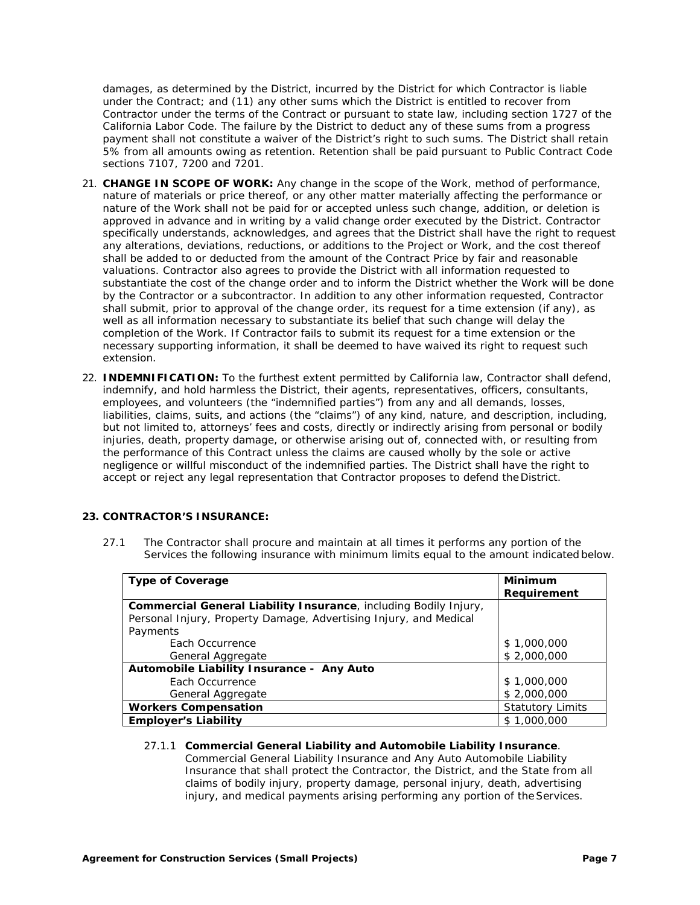damages, as determined by the District, incurred by the District for which Contractor is liable under the Contract; and (11) any other sums which the District is entitled to recover from Contractor under the terms of the Contract or pursuant to state law, including section 1727 of the California Labor Code. The failure by the District to deduct any of these sums from a progress payment shall not constitute a waiver of the District's right to such sums. The District shall retain 5% from all amounts owing as retention. Retention shall be paid pursuant to Public Contract Code sections 7107, 7200 and 7201.

- 21. **CHANGE IN SCOPE OF WORK:** Any change in the scope of the Work, method of performance, nature of materials or price thereof, or any other matter materially affecting the performance or nature of the Work shall not be paid for or accepted unless such change, addition, or deletion is approved in advance and in writing by a valid change order executed by the District. Contractor specifically understands, acknowledges, and agrees that the District shall have the right to request any alterations, deviations, reductions, or additions to the Project or Work, and the cost thereof shall be added to or deducted from the amount of the Contract Price by fair and reasonable valuations. Contractor also agrees to provide the District with all information requested to substantiate the cost of the change order and to inform the District whether the Work will be done by the Contractor or a subcontractor. In addition to any other information requested, Contractor shall submit, prior to approval of the change order, its request for a time extension (if any), as well as all information necessary to substantiate its belief that such change will delay the completion of the Work. If Contractor fails to submit its request for a time extension or the necessary supporting information, it shall be deemed to have waived its right to request such extension.
- 22. **INDEMNIFICATION:** To the furthest extent permitted by California law, Contractor shall defend, indemnify, and hold harmless the District, their agents, representatives, officers, consultants, employees, and volunteers (the "indemnified parties") from any and all demands, losses, liabilities, claims, suits, and actions (the "claims") of any kind, nature, and description, including, but not limited to, attorneys' fees and costs, directly or indirectly arising from personal or bodily injuries, death, property damage, or otherwise arising out of, connected with, or resulting from the performance of this Contract unless the claims are caused wholly by the sole or active negligence or willful misconduct of the indemnified parties. The District shall have the right to accept or reject any legal representation that Contractor proposes to defend the District.

## **23. CONTRACTOR'S INSURANCE:**

| <b>Type of Coverage</b> | Minimum<br><b>Dequirement</b>                                                             |
|-------------------------|-------------------------------------------------------------------------------------------|
|                         | Services the following insurance with minimum limits equal to the amount indicated below. |

27.1 The Contractor shall procure and maintain at all times it performs any portion of the

| <b>Type of Coverage</b>                                           | <b>Minimum</b>          |
|-------------------------------------------------------------------|-------------------------|
|                                                                   | <b>Requirement</b>      |
| Commercial General Liability Insurance, including Bodily Injury,  |                         |
| Personal Injury, Property Damage, Advertising Injury, and Medical |                         |
| Payments                                                          |                         |
| Each Occurrence                                                   | \$1,000,000             |
| General Aggregate                                                 | \$2,000,000             |
| Automobile Liability Insurance - Any Auto                         |                         |
| Each Occurrence                                                   | \$1,000,000             |
| General Aggregate                                                 | \$2,000,000             |
| <b>Workers Compensation</b>                                       | <b>Statutory Limits</b> |
| <b>Employer's Liability</b>                                       | \$1,000,000             |

### 27.1.1 **Commercial General Liability and Automobile Liability Insurance**. Commercial General Liability Insurance and Any Auto Automobile Liability

Insurance that shall protect the Contractor, the District, and the State from all claims of bodily injury, property damage, personal injury, death, advertising injury, and medical payments arising performing any portion of the Services.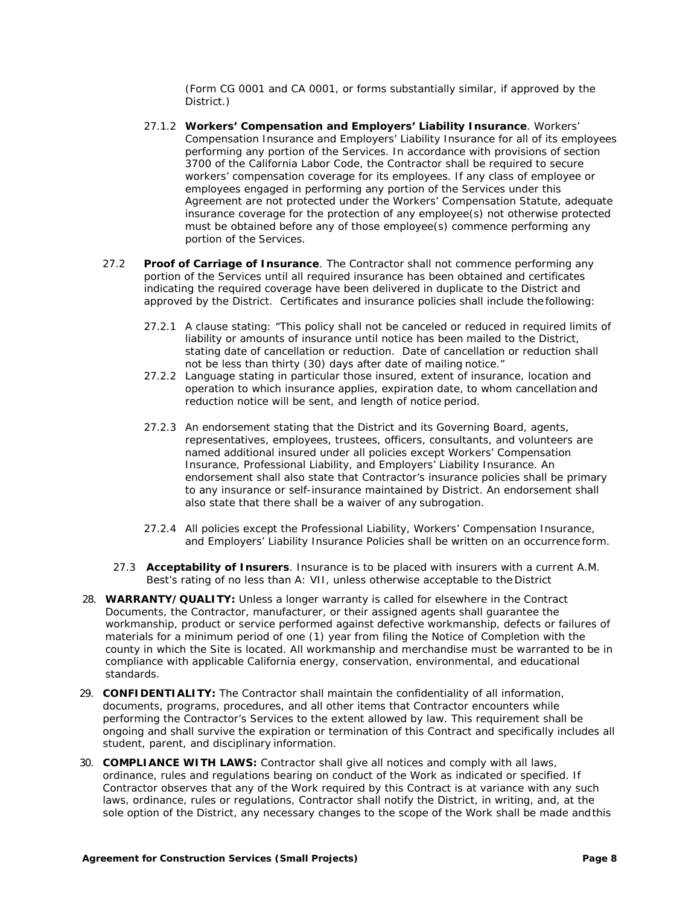(Form CG 0001 and CA 0001, or forms substantially similar, if approved by the District.)

- 27.1.2 **Workers' Compensation and Employers' Liability Insurance**. Workers' Compensation Insurance and Employers' Liability Insurance for all of its employees performing any portion of the Services. In accordance with provisions of section 3700 of the California Labor Code, the Contractor shall be required to secure workers' compensation coverage for its employees. If any class of employee or employees engaged in performing any portion of the Services under this Agreement are not protected under the Workers' Compensation Statute, adequate insurance coverage for the protection of any employee(s) not otherwise protected must be obtained before any of those employee(s) commence performing any portion of the Services.
- 27.2 **Proof of Carriage of Insurance**. The Contractor shall not commence performing any portion of the Services until all required insurance has been obtained and certificates indicating the required coverage have been delivered in duplicate to the District and approved by the District. Certificates and insurance policies shall include thefollowing:
	- 27.2.1 A clause stating: "This policy shall not be canceled or reduced in required limits of liability or amounts of insurance until notice has been mailed to the District, stating date of cancellation or reduction. Date of cancellation or reduction shall not be less than thirty (30) days after date of mailing notice."
	- 27.2.2 Language stating in particular those insured, extent of insurance, location and operation to which insurance applies, expiration date, to whom cancellation and reduction notice will be sent, and length of notice period.
	- 27.2.3 An endorsement stating that the District and its Governing Board, agents, representatives, employees, trustees, officers, consultants, and volunteers are named additional insured under all policies except Workers' Compensation Insurance, Professional Liability, and Employers' Liability Insurance. An endorsement shall also state that Contractor's insurance policies shall be primary to any insurance or self-insurance maintained by District. An endorsement shall also state that there shall be a waiver of any subrogation.
	- 27.2.4 All policies except the Professional Liability, Workers' Compensation Insurance, and Employers' Liability Insurance Policies shall be written on an occurrence form.
	- 27.3 **Acceptability of Insurers**. Insurance is to be placed with insurers with a current A.M. Best's rating of no less than A: VII, unless otherwise acceptable to the District
- 28. **WARRANTY/QUALITY:** Unless a longer warranty is called for elsewhere in the Contract Documents, the Contractor, manufacturer, or their assigned agents shall guarantee the workmanship, product or service performed against defective workmanship, defects or failures of materials for a minimum period of one (1) year from filing the Notice of Completion with the county in which the Site is located. All workmanship and merchandise must be warranted to be in compliance with applicable California energy, conservation, environmental, and educational standards.
- 29. **CONFIDENTIALITY:** The Contractor shall maintain the confidentiality of all information, documents, programs, procedures, and all other items that Contractor encounters while performing the Contractor's Services to the extent allowed by law. This requirement shall be ongoing and shall survive the expiration or termination of this Contract and specifically includes all student, parent, and disciplinary information.
- 30. **COMPLIANCE WITH LAWS:** Contractor shall give all notices and comply with all laws, ordinance, rules and regulations bearing on conduct of the Work as indicated or specified. If Contractor observes that any of the Work required by this Contract is at variance with any such laws, ordinance, rules or regulations, Contractor shall notify the District, in writing, and, at the sole option of the District, any necessary changes to the scope of the Work shall be made andthis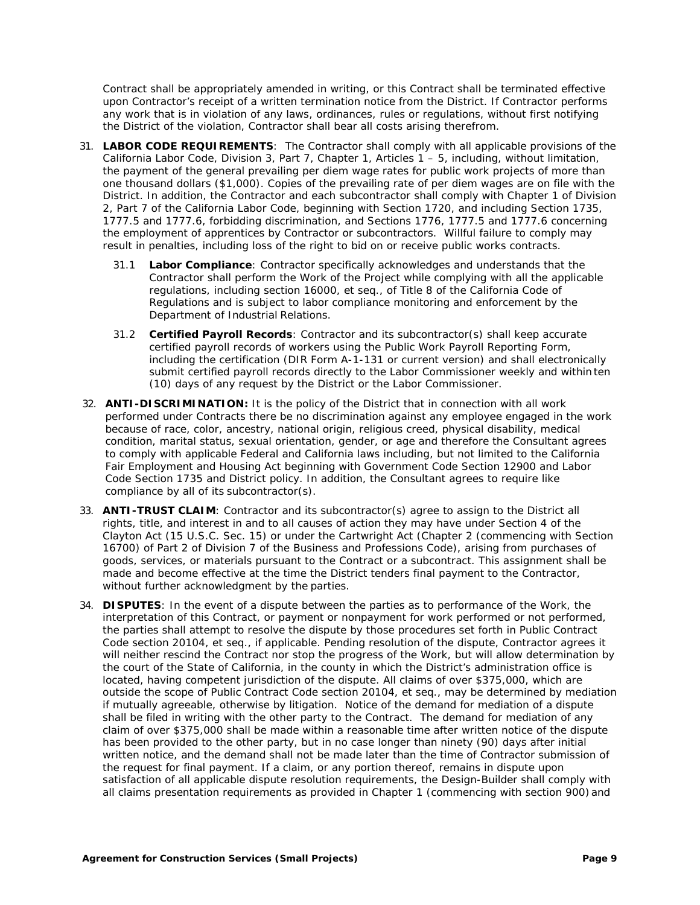Contract shall be appropriately amended in writing, or this Contract shall be terminated effective upon Contractor's receipt of a written termination notice from the District. If Contractor performs any work that is in violation of any laws, ordinances, rules or regulations, without first notifying the District of the violation, Contractor shall bear all costs arising therefrom.

- 31. **LABOR CODE REQUIREMENTS**: The Contractor shall comply with all applicable provisions of the California Labor Code, Division 3, Part 7, Chapter 1, Articles 1 – 5, including, without limitation, the payment of the general prevailing per diem wage rates for public work projects of more than one thousand dollars (\$1,000). Copies of the prevailing rate of per diem wages are on file with the District. In addition, the Contractor and each subcontractor shall comply with Chapter 1 of Division 2, Part 7 of the California Labor Code, beginning with Section 1720, and including Section 1735, 1777.5 and 1777.6, forbidding discrimination, and Sections 1776, 1777.5 and 1777.6 concerning the employment of apprentices by Contractor or subcontractors. Willful failure to comply may result in penalties, including loss of the right to bid on or receive public works contracts.
	- 31.1 **Labor Compliance**: Contractor specifically acknowledges and understands that the Contractor shall perform the Work of the Project while complying with all the applicable regulations, including section 16000, et seq., of Title 8 of the California Code of Regulations and is subject to labor compliance monitoring and enforcement by the Department of Industrial Relations.
	- 31.2 **Certified Payroll Records**: Contractor and its subcontractor(s) shall keep accurate certified payroll records of workers using the Public Work Payroll Reporting Form, including the certification (DIR Form A-1-131 or current version) and shall electronically submit certified payroll records directly to the Labor Commissioner weekly and withinten (10) days of any request by the District or the Labor Commissioner.
- 32. **ANTI-DISCRIMINATION:** It is the policy of the District that in connection with all work performed under Contracts there be no discrimination against any employee engaged in the work because of race, color, ancestry, national origin, religious creed, physical disability, medical condition, marital status, sexual orientation, gender, or age and therefore the Consultant agrees to comply with applicable Federal and California laws including, but not limited to the California Fair Employment and Housing Act beginning with Government Code Section 12900 and Labor Code Section 1735 and District policy. In addition, the Consultant agrees to require like compliance by all of its subcontractor(s).
- 33. **ANTI-TRUST CLAIM**: Contractor and its subcontractor(s) agree to assign to the District all rights, title, and interest in and to all causes of action they may have under Section 4 of the Clayton Act (15 U.S.C. Sec. 15) or under the Cartwright Act (Chapter 2 (commencing with Section 16700) of Part 2 of Division 7 of the Business and Professions Code), arising from purchases of goods, services, or materials pursuant to the Contract or a subcontract. This assignment shall be made and become effective at the time the District tenders final payment to the Contractor, without further acknowledgment by the parties.
- 34. **DISPUTES**: In the event of a dispute between the parties as to performance of the Work, the interpretation of this Contract, or payment or nonpayment for work performed or not performed, the parties shall attempt to resolve the dispute by those procedures set forth in Public Contract Code section 20104, et seq., if applicable. Pending resolution of the dispute, Contractor agrees it will neither rescind the Contract nor stop the progress of the Work, but will allow determination by the court of the State of California, in the county in which the District's administration office is located, having competent jurisdiction of the dispute. All claims of over \$375,000, which are outside the scope of Public Contract Code section 20104, et seq., may be determined by mediation if mutually agreeable, otherwise by litigation. Notice of the demand for mediation of a dispute shall be filed in writing with the other party to the Contract. The demand for mediation of any claim of over \$375,000 shall be made within a reasonable time after written notice of the dispute has been provided to the other party, but in no case longer than ninety (90) days after initial written notice, and the demand shall not be made later than the time of Contractor submission of the request for final payment. If a claim, or any portion thereof, remains in dispute upon satisfaction of all applicable dispute resolution requirements, the Design-Builder shall comply with all claims presentation requirements as provided in Chapter 1 (commencing with section 900) and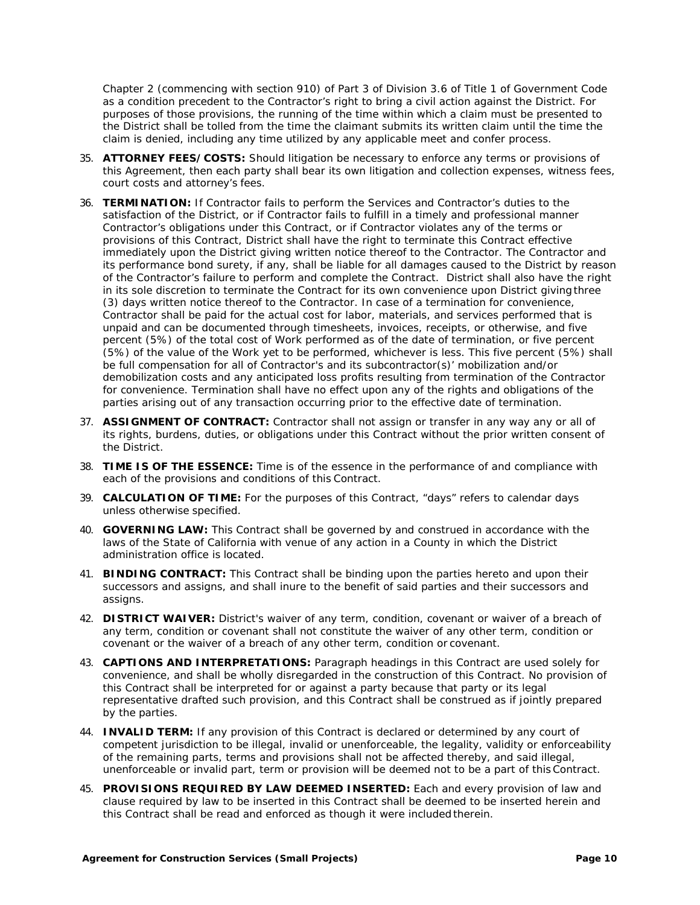Chapter 2 (commencing with section 910) of Part 3 of Division 3.6 of Title 1 of Government Code as a condition precedent to the Contractor's right to bring a civil action against the District. For purposes of those provisions, the running of the time within which a claim must be presented to the District shall be tolled from the time the claimant submits its written claim until the time the claim is denied, including any time utilized by any applicable meet and confer process.

- 35. **ATTORNEY FEES/COSTS:** Should litigation be necessary to enforce any terms or provisions of this Agreement, then each party shall bear its own litigation and collection expenses, witness fees, court costs and attorney's fees.
- 36. **TERMINATION:** If Contractor fails to perform the Services and Contractor's duties to the satisfaction of the District, or if Contractor fails to fulfill in a timely and professional manner Contractor's obligations under this Contract, or if Contractor violates any of the terms or provisions of this Contract, District shall have the right to terminate this Contract effective immediately upon the District giving written notice thereof to the Contractor. The Contractor and its performance bond surety, if any, shall be liable for all damages caused to the District by reason of the Contractor's failure to perform and complete the Contract. District shall also have the right in its sole discretion to terminate the Contract for its own convenience upon District giving three (3) days written notice thereof to the Contractor. In case of a termination for convenience, Contractor shall be paid for the actual cost for labor, materials, and services performed that is unpaid and can be documented through timesheets, invoices, receipts, or otherwise, and five percent (5%) of the total cost of Work performed as of the date of termination, or five percent (5%) of the value of the Work yet to be performed, whichever is less. This five percent (5%) shall be full compensation for all of Contractor's and its subcontractor(s)' mobilization and/or demobilization costs and any anticipated loss profits resulting from termination of the Contractor for convenience. Termination shall have no effect upon any of the rights and obligations of the parties arising out of any transaction occurring prior to the effective date of termination.
- 37. **ASSIGNMENT OF CONTRACT:** Contractor shall not assign or transfer in any way any or all of its rights, burdens, duties, or obligations under this Contract without the prior written consent of the District.
- 38. **TIME IS OF THE ESSENCE:** Time is of the essence in the performance of and compliance with each of the provisions and conditions of this Contract.
- 39. **CALCULATION OF TIME:** For the purposes of this Contract, "days" refers to calendar days unless otherwise specified.
- 40. **GOVERNING LAW:** This Contract shall be governed by and construed in accordance with the laws of the State of California with venue of any action in a County in which the District administration office is located.
- 41. **BINDING CONTRACT:** This Contract shall be binding upon the parties hereto and upon their successors and assigns, and shall inure to the benefit of said parties and their successors and assigns.
- 42. **DISTRICT WAIVER:** District's waiver of any term, condition, covenant or waiver of a breach of any term, condition or covenant shall not constitute the waiver of any other term, condition or covenant or the waiver of a breach of any other term, condition or covenant.
- 43. **CAPTIONS AND INTERPRETATIONS:** Paragraph headings in this Contract are used solely for convenience, and shall be wholly disregarded in the construction of this Contract. No provision of this Contract shall be interpreted for or against a party because that party or its legal representative drafted such provision, and this Contract shall be construed as if jointly prepared by the parties.
- 44. **INVALID TERM:** If any provision of this Contract is declared or determined by any court of competent jurisdiction to be illegal, invalid or unenforceable, the legality, validity or enforceability of the remaining parts, terms and provisions shall not be affected thereby, and said illegal, unenforceable or invalid part, term or provision will be deemed not to be a part of thisContract.
- 45. **PROVISIONS REQUIRED BY LAW DEEMED INSERTED:** Each and every provision of law and clause required by law to be inserted in this Contract shall be deemed to be inserted herein and this Contract shall be read and enforced as though it were included therein.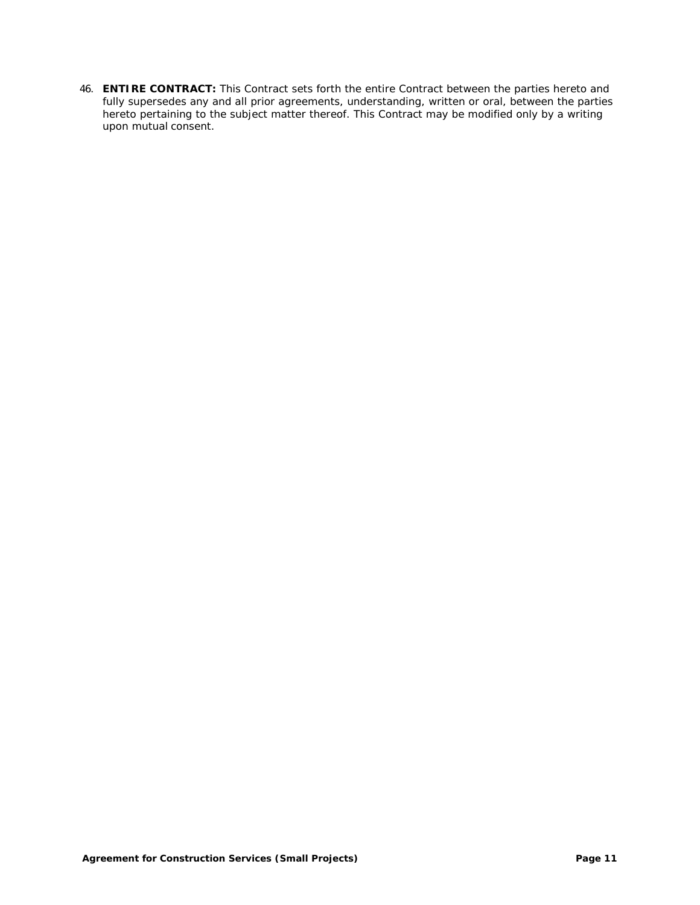46. **ENTIRE CONTRACT:** This Contract sets forth the entire Contract between the parties hereto and fully supersedes any and all prior agreements, understanding, written or oral, between the parties hereto pertaining to the subject matter thereof. This Contract may be modified only by a writing upon mutual consent.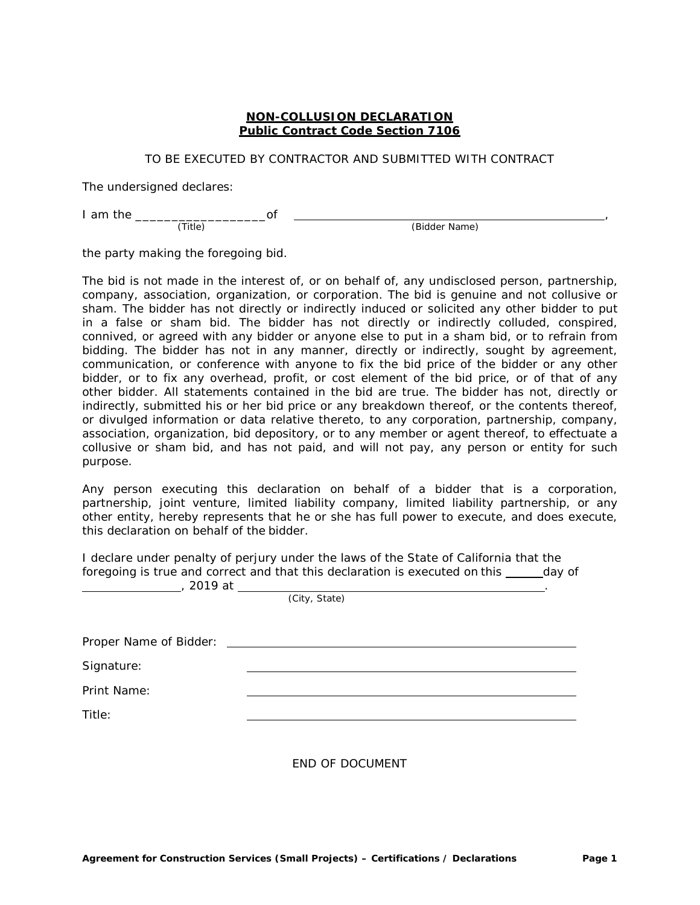## **NON-COLLUSION DECLARATION Public Contract Code Section 7106**

## TO BE EXECUTED BY CONTRACTOR AND SUBMITTED WITH CONTRACT

The undersigned declares:

I am the \_\_\_\_\_\_\_\_\_\_\_\_\_\_\_\_\_\_of ,

(Title) (Bidder Name)

the party making the foregoing bid.

<u>, 2019 at ...</u>

The bid is not made in the interest of, or on behalf of, any undisclosed person, partnership, company, association, organization, or corporation. The bid is genuine and not collusive or sham. The bidder has not directly or indirectly induced or solicited any other bidder to put in a false or sham bid. The bidder has not directly or indirectly colluded, conspired, connived, or agreed with any bidder or anyone else to put in a sham bid, or to refrain from bidding. The bidder has not in any manner, directly or indirectly, sought by agreement, communication, or conference with anyone to fix the bid price of the bidder or any other bidder, or to fix any overhead, profit, or cost element of the bid price, or of that of any other bidder. All statements contained in the bid are true. The bidder has not, directly or indirectly, submitted his or her bid price or any breakdown thereof, or the contents thereof, or divulged information or data relative thereto, to any corporation, partnership, company, association, organization, bid depository, or to any member or agent thereof, to effectuate a collusive or sham bid, and has not paid, and will not pay, any person or entity for such purpose.

Any person executing this declaration on behalf of a bidder that is a corporation, partnership, joint venture, limited liability company, limited liability partnership, or any other entity, hereby represents that he or she has full power to execute, and does execute, this declaration on behalf of the bidder.

I declare under penalty of perjury under the laws of the State of California that the foregoing is true and correct and that this declaration is executed on this \_\_\_\_\_ day of

(City, State)

Proper Name of Bidder:

Signature:

Print Name:

Title: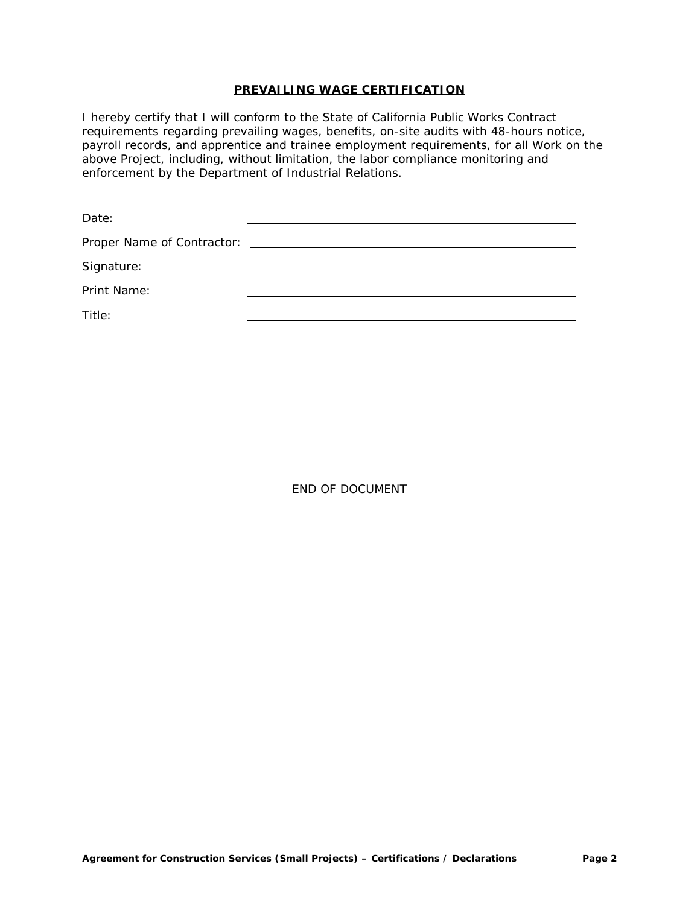## **PREVAILING WAGE CERTIFICATION**

I hereby certify that I will conform to the State of California Public Works Contract requirements regarding prevailing wages, benefits, on-site audits with 48-hours notice, payroll records, and apprentice and trainee employment requirements, for all Work on the above Project, including, without limitation, the labor compliance monitoring and enforcement by the Department of Industrial Relations.

Date:

Proper Name of Contractor:

Signature:

Print Name:

Title: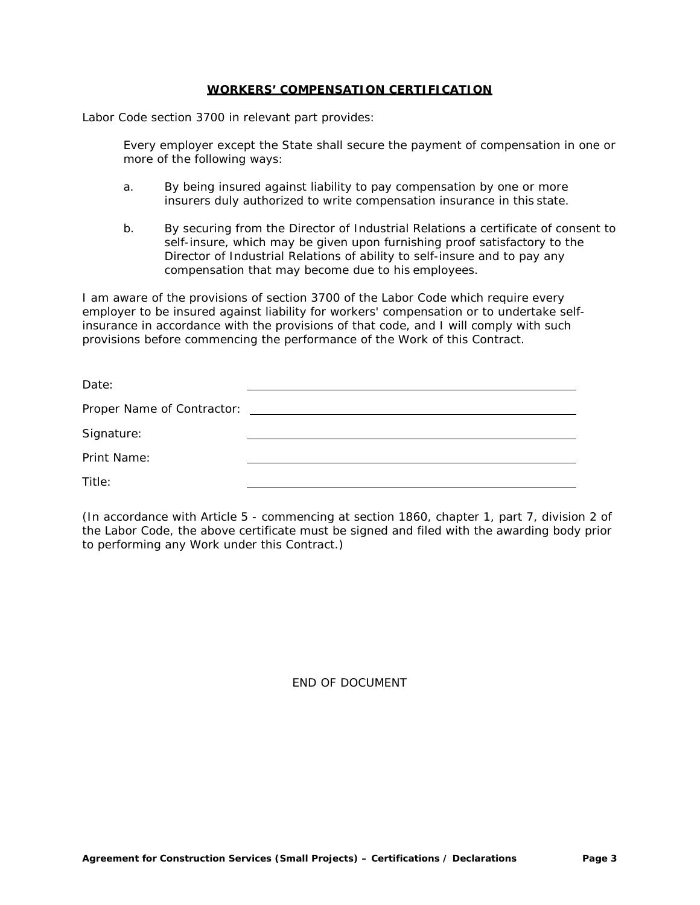## **WORKERS' COMPENSATION CERTIFICATION**

Labor Code section 3700 in relevant part provides:

Every employer except the State shall secure the payment of compensation in one or more of the following ways:

- a. By being insured against liability to pay compensation by one or more insurers duly authorized to write compensation insurance in this state.
- b. By securing from the Director of Industrial Relations a certificate of consent to self-insure, which may be given upon furnishing proof satisfactory to the Director of Industrial Relations of ability to self-insure and to pay any compensation that may become due to his employees.

I am aware of the provisions of section 3700 of the Labor Code which require every employer to be insured against liability for workers' compensation or to undertake selfinsurance in accordance with the provisions of that code, and I will comply with such provisions before commencing the performance of the Work of this Contract.

| Date:                      |  |
|----------------------------|--|
| Proper Name of Contractor: |  |
| Signature:                 |  |
| Print Name:                |  |
| Title:                     |  |

(In accordance with Article 5 - commencing at section 1860, chapter 1, part 7, division 2 of the Labor Code, the above certificate must be signed and filed with the awarding body prior to performing any Work under this Contract.)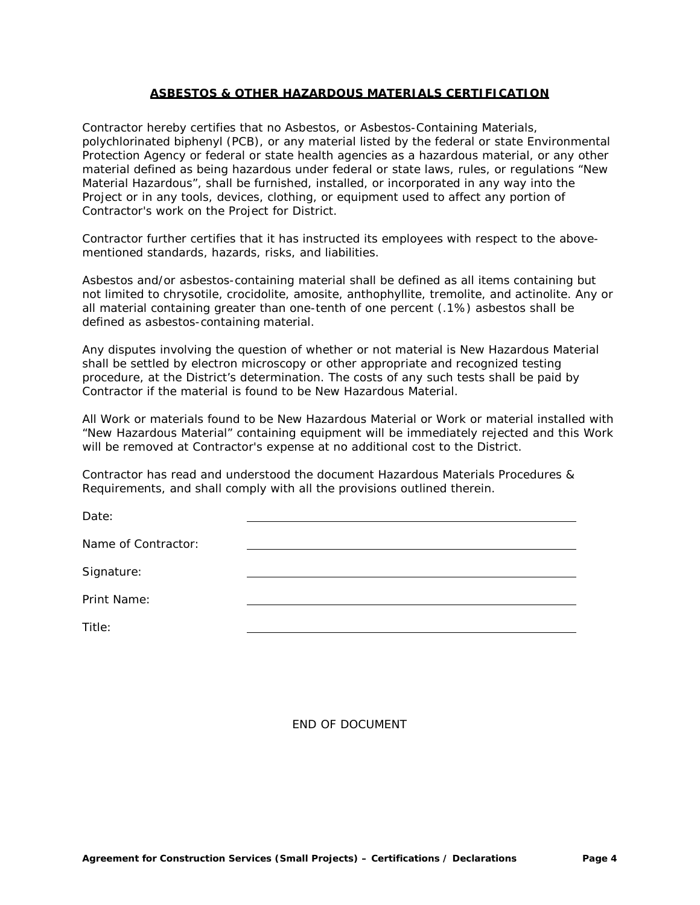## **ASBESTOS & OTHER HAZARDOUS MATERIALS CERTIFICATION**

Contractor hereby certifies that no Asbestos, or Asbestos-Containing Materials, polychlorinated biphenyl (PCB), or any material listed by the federal or state Environmental Protection Agency or federal or state health agencies as a hazardous material, or any other material defined as being hazardous under federal or state laws, rules, or regulations "New Material Hazardous", shall be furnished, installed, or incorporated in any way into the Project or in any tools, devices, clothing, or equipment used to affect any portion of Contractor's work on the Project for District.

Contractor further certifies that it has instructed its employees with respect to the abovementioned standards, hazards, risks, and liabilities.

Asbestos and/or asbestos-containing material shall be defined as all items containing but not limited to chrysotile, crocidolite, amosite, anthophyllite, tremolite, and actinolite. Any or all material containing greater than one-tenth of one percent (.1%) asbestos shall be defined as asbestos-containing material.

Any disputes involving the question of whether or not material is New Hazardous Material shall be settled by electron microscopy or other appropriate and recognized testing procedure, at the District's determination. The costs of any such tests shall be paid by Contractor if the material is found to be New Hazardous Material.

All Work or materials found to be New Hazardous Material or Work or material installed with "New Hazardous Material" containing equipment will be immediately rejected and this Work will be removed at Contractor's expense at no additional cost to the District.

Contractor has read and understood the document Hazardous Materials Procedures & Requirements, and shall comply with all the provisions outlined therein.

Date:

Name of Contractor:

Signature:

Print Name:

Title: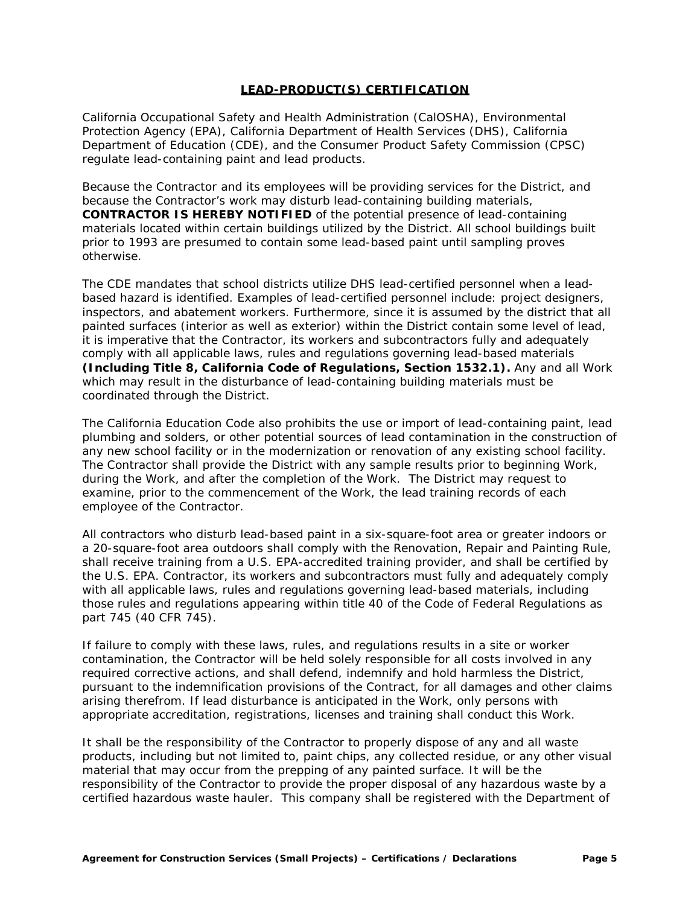## **LEAD-PRODUCT(S) CERTIFICATION**

California Occupational Safety and Health Administration (CalOSHA), Environmental Protection Agency (EPA), California Department of Health Services (DHS), California Department of Education (CDE), and the Consumer Product Safety Commission (CPSC) regulate lead-containing paint and lead products.

Because the Contractor and its employees will be providing services for the District, and because the Contractor's work may disturb lead-containing building materials, **CONTRACTOR IS HEREBY NOTIFIED** of the potential presence of lead-containing materials located within certain buildings utilized by the District. All school buildings built prior to 1993 are presumed to contain some lead-based paint until sampling proves otherwise.

The CDE mandates that school districts utilize DHS lead-certified personnel when a leadbased hazard is identified. Examples of lead-certified personnel include: project designers, inspectors, and abatement workers. Furthermore, since it is assumed by the district that all painted surfaces (interior as well as exterior) within the District contain some level of lead, it is imperative that the Contractor, its workers and subcontractors fully and adequately comply with all applicable laws, rules and regulations governing lead-based materials **(Including Title 8, California Code of Regulations, Section 1532.1).** Any and all Work which may result in the disturbance of lead-containing building materials must be coordinated through the District.

The California Education Code also prohibits the use or import of lead-containing paint, lead plumbing and solders, or other potential sources of lead contamination in the construction of any new school facility or in the modernization or renovation of any existing school facility. The Contractor shall provide the District with any sample results prior to beginning Work, during the Work, and after the completion of the Work. The District may request to examine, prior to the commencement of the Work, the lead training records of each employee of the Contractor.

All contractors who disturb lead-based paint in a six-square-foot area or greater indoors or a 20-square-foot area outdoors shall comply with the Renovation, Repair and Painting Rule, shall receive training from a U.S. EPA-accredited training provider, and shall be certified by the U.S. EPA. Contractor, its workers and subcontractors must fully and adequately comply with all applicable laws, rules and regulations governing lead-based materials, including those rules and regulations appearing within title 40 of the Code of Federal Regulations as part 745 (40 CFR 745).

If failure to comply with these laws, rules, and regulations results in a site or worker contamination, the Contractor will be held solely responsible for all costs involved in any required corrective actions, and shall defend, indemnify and hold harmless the District, pursuant to the indemnification provisions of the Contract, for all damages and other claims arising therefrom. If lead disturbance is anticipated in the Work, only persons with appropriate accreditation, registrations, licenses and training shall conduct this Work.

It shall be the responsibility of the Contractor to properly dispose of any and all waste products, including but not limited to, paint chips, any collected residue, or any other visual material that may occur from the prepping of any painted surface. It will be the responsibility of the Contractor to provide the proper disposal of any hazardous waste by a certified hazardous waste hauler. This company shall be registered with the Department of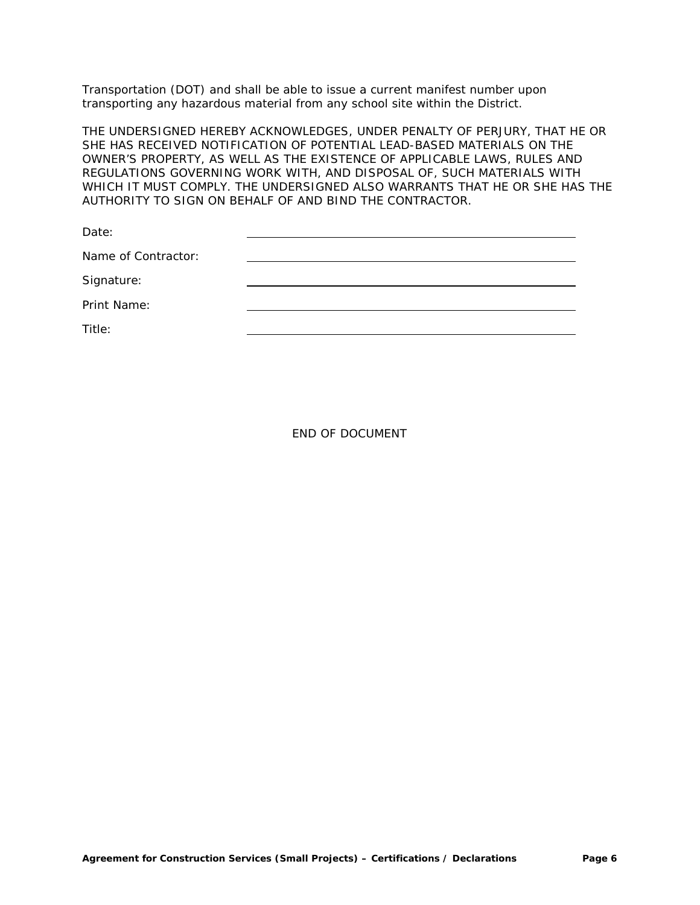Transportation (DOT) and shall be able to issue a current manifest number upon transporting any hazardous material from any school site within the District.

THE UNDERSIGNED HEREBY ACKNOWLEDGES, UNDER PENALTY OF PERJURY, THAT HE OR SHE HAS RECEIVED NOTIFICATION OF POTENTIAL LEAD-BASED MATERIALS ON THE OWNER'S PROPERTY, AS WELL AS THE EXISTENCE OF APPLICABLE LAWS, RULES AND REGULATIONS GOVERNING WORK WITH, AND DISPOSAL OF, SUCH MATERIALS WITH WHICH IT MUST COMPLY. THE UNDERSIGNED ALSO WARRANTS THAT HE OR SHE HAS THE AUTHORITY TO SIGN ON BEHALF OF AND BIND THE CONTRACTOR.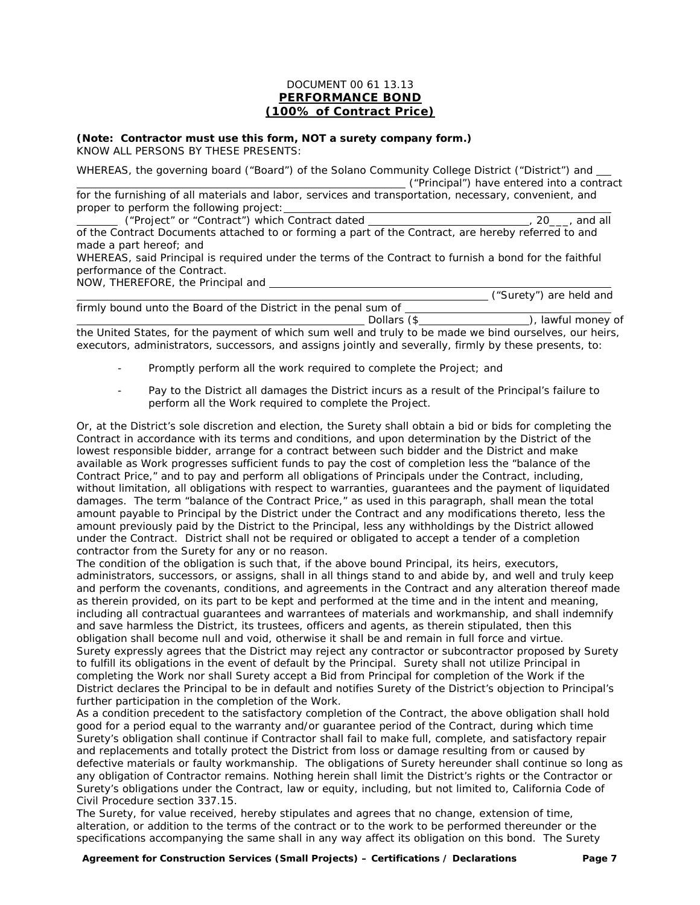### DOCUMENT 00 61 13.13 **PERFORMANCE BOND (100% of Contract Price)**

#### **(Note: Contractor must use this form, NOT a surety company form.)** KNOW ALL PERSONS BY THESE PRESENTS:

WHEREAS, the governing board ("Board") of the Solano Community College District ("District") and \_ ("Principal") have entered into a contract

for the furnishing of all materials and labor, services and transportation, necessary, convenient, and proper to perform the following project:

 ("Project" or "Contract") which Contract dated , 20\_\_\_, and all of the Contract Documents attached to or forming a part of the Contract, are hereby referred to and made a part hereof; and

WHEREAS, said Principal is required under the terms of the Contract to furnish a bond for the faithful performance of the Contract.

NOW, THEREFORE, the Principal and

**Example 20** ("Surety") are held and

firmly bound unto the Board of the District in the penal sum of Dollars (\$ ), lawful money of

the United States, for the payment of which sum well and truly to be made we bind ourselves, our heirs, executors, administrators, successors, and assigns jointly and severally, firmly by these presents, to:

- Promptly perform all the work required to complete the Project; and
- Pay to the District all damages the District incurs as a result of the Principal's failure to perform all the Work required to complete the Project.

Or, at the District's sole discretion and election, the Surety shall obtain a bid or bids for completing the Contract in accordance with its terms and conditions, and upon determination by the District of the lowest responsible bidder, arrange for a contract between such bidder and the District and make available as Work progresses sufficient funds to pay the cost of completion less the "balance of the Contract Price," and to pay and perform all obligations of Principals under the Contract, including, without limitation, all obligations with respect to warranties, guarantees and the payment of liquidated damages. The term "balance of the Contract Price," as used in this paragraph, shall mean the total amount payable to Principal by the District under the Contract and any modifications thereto, less the amount previously paid by the District to the Principal, less any withholdings by the District allowed under the Contract. District shall not be required or obligated to accept a tender of a completion contractor from the Surety for any or no reason.

The condition of the obligation is such that, if the above bound Principal, its heirs, executors, administrators, successors, or assigns, shall in all things stand to and abide by, and well and truly keep and perform the covenants, conditions, and agreements in the Contract and any alteration thereof made as therein provided, on its part to be kept and performed at the time and in the intent and meaning, including all contractual guarantees and warrantees of materials and workmanship, and shall indemnify and save harmless the District, its trustees, officers and agents, as therein stipulated, then this obligation shall become null and void, otherwise it shall be and remain in full force and virtue. Surety expressly agrees that the District may reject any contractor or subcontractor proposed by Surety to fulfill its obligations in the event of default by the Principal. Surety shall not utilize Principal in completing the Work nor shall Surety accept a Bid from Principal for completion of the Work if the District declares the Principal to be in default and notifies Surety of the District's objection to Principal's further participation in the completion of the Work.

As a condition precedent to the satisfactory completion of the Contract, the above obligation shall hold good for a period equal to the warranty and/or guarantee period of the Contract, during which time Surety's obligation shall continue if Contractor shall fail to make full, complete, and satisfactory repair and replacements and totally protect the District from loss or damage resulting from or caused by defective materials or faulty workmanship. The obligations of Surety hereunder shall continue so long as any obligation of Contractor remains. Nothing herein shall limit the District's rights or the Contractor or Surety's obligations under the Contract, law or equity, including, but not limited to, California Code of Civil Procedure section 337.15.

The Surety, for value received, hereby stipulates and agrees that no change, extension of time, alteration, or addition to the terms of the contract or to the work to be performed thereunder or the specifications accompanying the same shall in any way affect its obligation on this bond. The Surety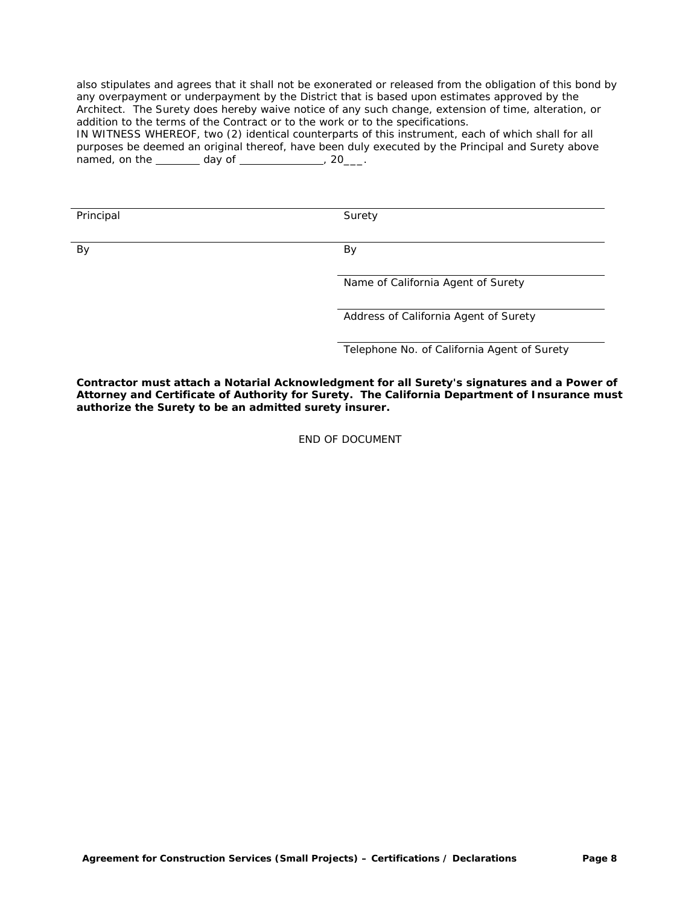also stipulates and agrees that it shall not be exonerated or released from the obligation of this bond by any overpayment or underpayment by the District that is based upon estimates approved by the Architect. The Surety does hereby waive notice of any such change, extension of time, alteration, or addition to the terms of the Contract or to the work or to the specifications.

IN WITNESS WHEREOF, two (2) identical counterparts of this instrument, each of which shall for all purposes be deemed an original thereof, have been duly executed by the Principal and Surety above named, on the day of the day of the set of  $\sim$  20  $\pm$ 

Principal Surety

By the contract of the contract of the By

Name of California Agent of Surety

Address of California Agent of Surety

Telephone No. of California Agent of Surety

**Contractor must attach a Notarial Acknowledgment for all Surety's signatures and a Power of Attorney and Certificate of Authority for Surety. The California Department of Insurance must authorize the Surety to be an admitted surety insurer.**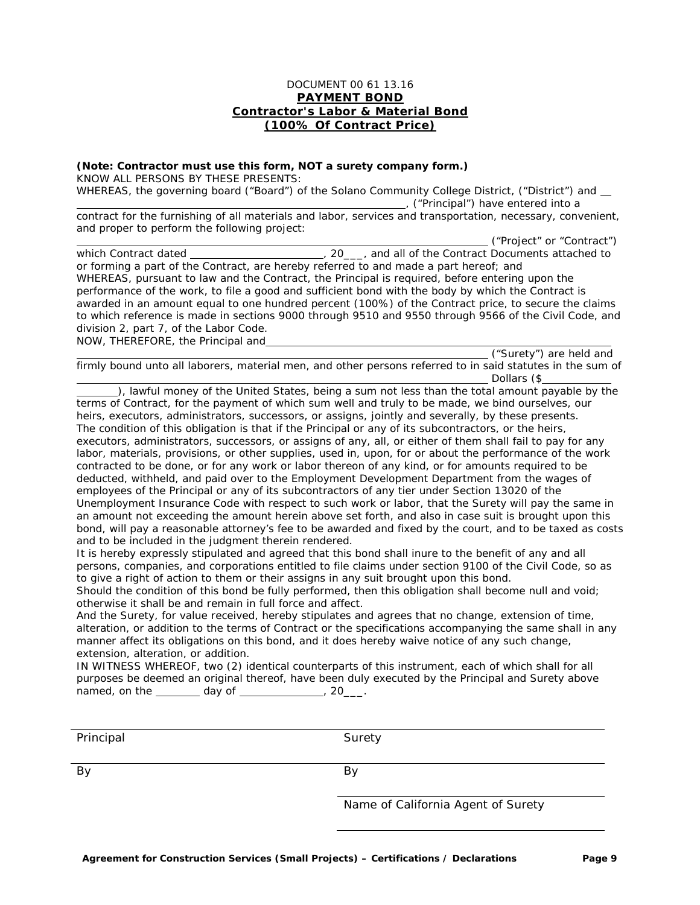### DOCUMENT 00 61 13.16 **PAYMENT BOND Contractor's Labor & Material Bond (100% Of Contract Price)**

#### **(Note: Contractor must use this form, NOT a surety company form.)** KNOW ALL PERSONS BY THESE PRESENTS:

WHEREAS, the governing board ("Board") of the Solano Community College District, ("District") and **Manual External** ("Principal") have entered into a

contract for the furnishing of all materials and labor, services and transportation, necessary, convenient, and proper to perform the following project:

("Project" or "Contract") which Contract dated , 20\_\_\_, and all of the Contract Documents attached to or forming a part of the Contract, are hereby referred to and made a part hereof; and WHEREAS, pursuant to law and the Contract, the Principal is required, before entering upon the performance of the work, to file a good and sufficient bond with the body by which the Contract is awarded in an amount equal to one hundred percent (100%) of the Contract price, to secure the claims to which reference is made in sections 9000 through 9510 and 9550 through 9566 of the Civil Code, and division 2, part 7, of the Labor Code. NOW, THEREFORE, the Principal and

**Example 21** ("Surety") are held and

firmly bound unto all laborers, material men, and other persons referred to in said statutes in the sum of Dollars (\$

), lawful money of the United States, being a sum not less than the total amount payable by the terms of Contract, for the payment of which sum well and truly to be made, we bind ourselves, our heirs, executors, administrators, successors, or assigns, jointly and severally, by these presents. The condition of this obligation is that if the Principal or any of its subcontractors, or the heirs, executors, administrators, successors, or assigns of any, all, or either of them shall fail to pay for any labor, materials, provisions, or other supplies, used in, upon, for or about the performance of the work contracted to be done, or for any work or labor thereon of any kind, or for amounts required to be deducted, withheld, and paid over to the Employment Development Department from the wages of employees of the Principal or any of its subcontractors of any tier under Section 13020 of the Unemployment Insurance Code with respect to such work or labor, that the Surety will pay the same in an amount not exceeding the amount herein above set forth, and also in case suit is brought upon this bond, will pay a reasonable attorney's fee to be awarded and fixed by the court, and to be taxed as costs and to be included in the judgment therein rendered.

It is hereby expressly stipulated and agreed that this bond shall inure to the benefit of any and all persons, companies, and corporations entitled to file claims under section 9100 of the Civil Code, so as to give a right of action to them or their assigns in any suit brought upon this bond.

Should the condition of this bond be fully performed, then this obligation shall become null and void; otherwise it shall be and remain in full force and affect.

And the Surety, for value received, hereby stipulates and agrees that no change, extension of time, alteration, or addition to the terms of Contract or the specifications accompanying the same shall in any manner affect its obligations on this bond, and it does hereby waive notice of any such change, extension, alteration, or addition.

IN WITNESS WHEREOF, two (2) identical counterparts of this instrument, each of which shall for all purposes be deemed an original thereof, have been duly executed by the Principal and Surety above  $n$  named, on the  $\frac{1}{20}$  day of  $\frac{1}{20}$ , 20\_\_\_.

| Principal | Surety                             |
|-----------|------------------------------------|
|           |                                    |
| By        | By                                 |
|           |                                    |
|           | Name of California Agent of Surety |